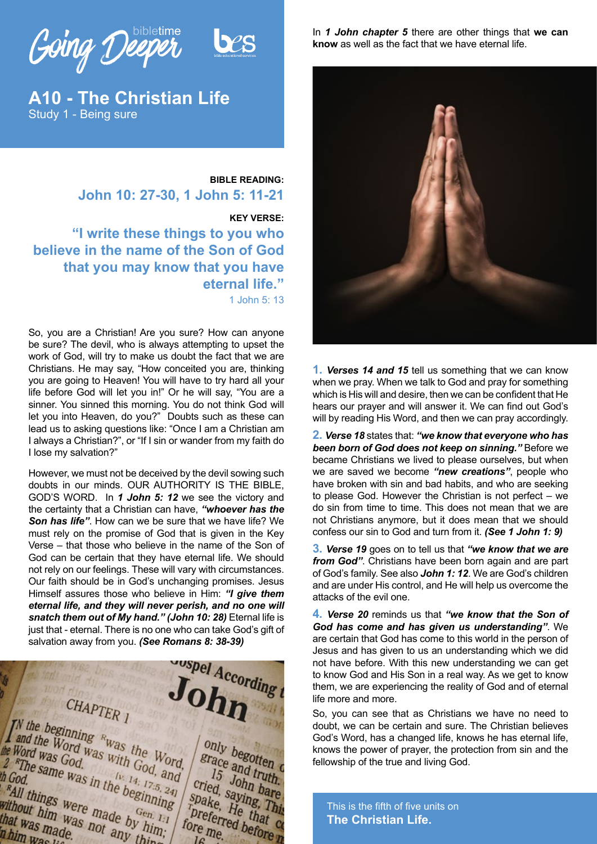Going Deeper

**A10 - The Christian Life** Study 1 - Being sure

# **BIBLE READING: John 10: 27-30, 1 John 5: 11-21**

**KEY VERSE: "I write these things to you who** 

**believe in the name of the Son of God that you may know that you have eternal life."** 1 John 5: 13

So, you are a Christian! Are you sure? How can anyone be sure? The devil, who is always attempting to upset the work of God, will try to make us doubt the fact that we are Christians. He may say, "How conceited you are, thinking you are going to Heaven! You will have to try hard all your life before God will let you in!" Or he will say, "You are a sinner. You sinned this morning. You do not think God will let you into Heaven, do you?" Doubts such as these can lead us to asking questions like: "Once I am a Christian am I always a Christian?", or "If I sin or wander from my faith do I lose my salvation?"

However, we must not be deceived by the devil sowing such doubts in our minds. OUR AUTHORITY IS THE BIBLE, GOD'S WORD. In *1 John 5: 12* we see the victory and the certainty that a Christian can have, *"whoever has the Son has life"*. How can we be sure that we have life? We must rely on the promise of God that is given in the Key Verse – that those who believe in the name of the Son of God can be certain that they have eternal life. We should not rely on our feelings. These will vary with circumstances. Our faith should be in God's unchanging promises. Jesus Himself assures those who believe in Him: *"I give them eternal life, and they will never perish, and no one will snatch them out of My hand." (John 10: 28)* Eternal life is just that - eternal. There is no one who can take God's gift of



In *1 John chapter 5* there are other things that **we can know** as well as the fact that we have eternal life.



**1.** *Verses 14 and 15* tell us something that we can know when we pray. When we talk to God and pray for something which is His will and desire, then we can be confident that He hears our prayer and will answer it. We can find out God's will by reading His Word, and then we can pray accordingly.

**2.** *Verse 18* states that: *"we know that everyone who has been born of God does not keep on sinning."* Before we became Christians we lived to please ourselves, but when we are saved we become *"new creations"*, people who have broken with sin and bad habits, and who are seeking to please God. However the Christian is not perfect – we do sin from time to time. This does not mean that we are not Christians anymore, but it does mean that we should confess our sin to God and turn from it. *(See 1 John 1: 9)*

**3.** *Verse 19* goes on to tell us that *"we know that we are from God"*. Christians have been born again and are part of God's family. See also *John 1: 12*. We are God's children and are under His control, and He will help us overcome the attacks of the evil one.

**4.** *Verse 20* reminds us that *"we know that the Son of God has come and has given us understanding"*. We are certain that God has come to this world in the person of Jesus and has given to us an understanding which we did not have before. With this new understanding we can get to know God and His Son in a real way. As we get to know them, we are experiencing the reality of God and of eternal life more and more.

So, you can see that as Christians we have no need to doubt, we can be certain and sure. The Christian believes God's Word, has a changed life, knows he has eternal life, knows the power of prayer, the protection from sin and the fellowship of the true and living God.

This is the fifth of five units on **The Christian Life.**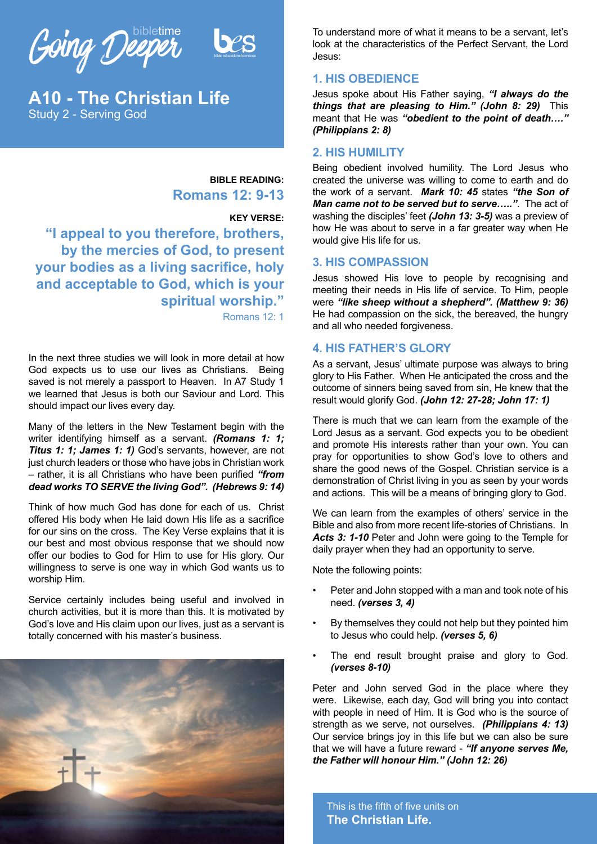Going Deeper



**A10 - The Christian Life** Study 2 - Serving God

### **BIBLE READING: Romans 12: 9-13**

#### **KEY VERSE:**

**"I appeal to you therefore, brothers, by the mercies of God, to present your bodies as a living sacrifice, holy and acceptable to God, which is your spiritual worship."** Romans 12: 1

In the next three studies we will look in more detail at how God expects us to use our lives as Christians. Being saved is not merely a passport to Heaven. In A7 Study 1 we learned that Jesus is both our Saviour and Lord. This should impact our lives every day.

Many of the letters in the New Testament begin with the writer identifying himself as a servant. *(Romans 1: 1; Titus 1: 1; James 1: 1)* God's servants, however, are not just church leaders or those who have jobs in Christian work – rather, it is all Christians who have been purified *"from dead works TO SERVE the living God". (Hebrews 9: 14)*

Think of how much God has done for each of us. Christ offered His body when He laid down His life as a sacrifice for our sins on the cross. The Key Verse explains that it is our best and most obvious response that we should now offer our bodies to God for Him to use for His glory. Our willingness to serve is one way in which God wants us to worship Him.

Service certainly includes being useful and involved in church activities, but it is more than this. It is motivated by God's love and His claim upon our lives, just as a servant is totally concerned with his master's business.



To understand more of what it means to be a servant, let's look at the characteristics of the Perfect Servant, the Lord Jesus:

#### **1. HIS OBEDIENCE**

Jesus spoke about His Father saying, *"I always do the things that are pleasing to Him." (John 8: 29)* This meant that He was *"obedient to the point of death…." (Philippians 2: 8)*

#### **2. HIS HUMILITY**

Being obedient involved humility. The Lord Jesus who created the universe was willing to come to earth and do the work of a servant. *Mark 10: 45* states *"the Son of Man came not to be served but to serve….."*. The act of washing the disciples' feet *(John 13: 3-5)* was a preview of how He was about to serve in a far greater way when He would give His life for us.

#### **3. HIS COMPASSION**

Jesus showed His love to people by recognising and meeting their needs in His life of service. To Him, people were *"like sheep without a shepherd". (Matthew 9: 36)* He had compassion on the sick, the bereaved, the hungry and all who needed forgiveness.

#### **4. HIS FATHER'S GLORY**

As a servant, Jesus' ultimate purpose was always to bring glory to His Father. When He anticipated the cross and the outcome of sinners being saved from sin, He knew that the result would glorify God. *(John 12: 27-28; John 17: 1)*

There is much that we can learn from the example of the Lord Jesus as a servant. God expects you to be obedient and promote His interests rather than your own. You can pray for opportunities to show God's love to others and share the good news of the Gospel. Christian service is a demonstration of Christ living in you as seen by your words and actions. This will be a means of bringing glory to God.

We can learn from the examples of others' service in the Bible and also from more recent life-stories of Christians. In Acts 3: 1-10 Peter and John were going to the Temple for daily prayer when they had an opportunity to serve.

Note the following points:

- Peter and John stopped with a man and took note of his need. *(verses 3, 4)*
- By themselves they could not help but they pointed him to Jesus who could help. *(verses 5, 6)*
- The end result brought praise and glory to God. *(verses 8-10)*

Peter and John served God in the place where they were. Likewise, each day, God will bring you into contact with people in need of Him. It is God who is the source of strength as we serve, not ourselves. *(Philippians 4: 13)* Our service brings joy in this life but we can also be sure that we will have a future reward - *"If anyone serves Me, the Father will honour Him." (John 12: 26)*

This is the fifth of five units on **The Christian Life.**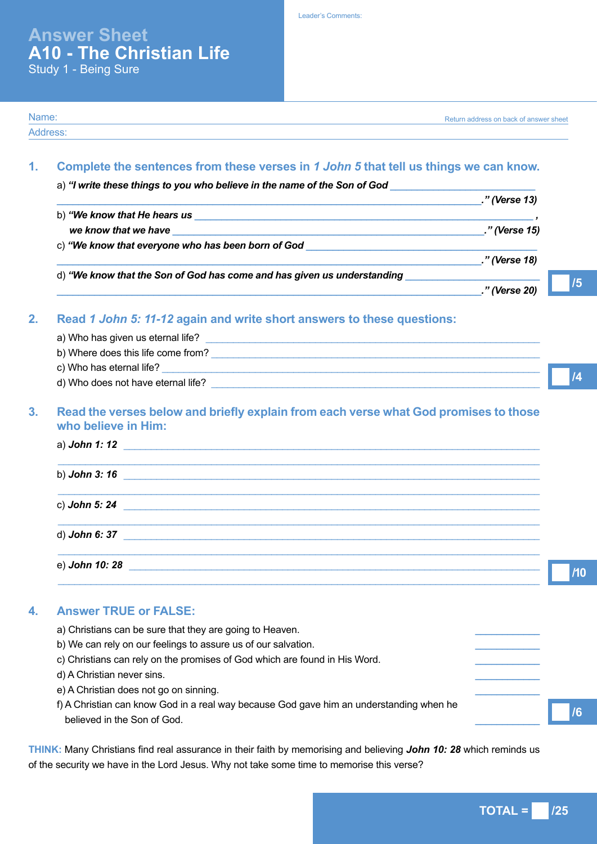**Answer Sheet A10 - The Christian Life** Study 1 - Being Sure

Leader's Comments:

| <u> 1989 - Johann John Stein, markin fan it ferskearre fan it ferskearre fan it ferskearre fan it ferskearre fan</u>                                                                                                                                                                                                                                               | ." (Verse 13) |
|--------------------------------------------------------------------------------------------------------------------------------------------------------------------------------------------------------------------------------------------------------------------------------------------------------------------------------------------------------------------|---------------|
|                                                                                                                                                                                                                                                                                                                                                                    |               |
| we know that we have $\qquad \qquad$ $\qquad \qquad$ $\qquad \qquad$ $\qquad \qquad$ $\qquad \qquad$ $\qquad \qquad$ $\qquad \qquad$ $\qquad \qquad$ $\qquad \qquad$ $\qquad \qquad$ $\qquad \qquad$ $\qquad \qquad$ $\qquad$ $\qquad \qquad$ $\qquad$ $\qquad$ $\qquad$ $\qquad$ $\qquad$ $\qquad$ $\qquad$ $\qquad$ $\qquad$ $\qquad$ $\qquad$ $\qquad$ $\qquad$ |               |
|                                                                                                                                                                                                                                                                                                                                                                    |               |
|                                                                                                                                                                                                                                                                                                                                                                    | ." (Verse 18) |
|                                                                                                                                                                                                                                                                                                                                                                    |               |
|                                                                                                                                                                                                                                                                                                                                                                    | ." (Verse 20) |
| Read 1 John 5: 11-12 again and write short answers to these questions:                                                                                                                                                                                                                                                                                             |               |
|                                                                                                                                                                                                                                                                                                                                                                    |               |
| b) Where does this life come from?                                                                                                                                                                                                                                                                                                                                 |               |
|                                                                                                                                                                                                                                                                                                                                                                    |               |
|                                                                                                                                                                                                                                                                                                                                                                    |               |
| Read the verses below and briefly explain from each verse what God promises to those<br>who believe in Him:                                                                                                                                                                                                                                                        |               |
| a) John 1:12 $\blacksquare$                                                                                                                                                                                                                                                                                                                                        |               |

| b) John 3: 16                                                           |  |  |
|-------------------------------------------------------------------------|--|--|
| c) John 5: 24<br><u> 1986 - Jan Samuel Barbara, politik a politik (</u> |  |  |
| d) John 6: 37                                                           |  |  |
| e) John 10: 28                                                          |  |  |

# **4. Answer TRUE or FALSE:**

Name: Address:

> a) Christians can be sure that they are going to Heaven. b) We can rely on our feelings to assure us of our salvation. c) Christians can rely on the promises of God which are found in His Word. d) A Christian never sins. *\_\_\_\_\_\_\_\_\_\_\_\_* e) A Christian does not go on sinning. *\_\_\_\_\_\_\_\_\_\_\_\_* f) A Christian can know God in a real way because God gave him an understanding when he believed in the Son of God. *\_\_\_\_\_\_\_\_\_\_\_\_* **/6**

**THINK:** Many Christians find real assurance in their faith by memorising and believing *John 10: 28* which reminds us of the security we have in the Lord Jesus. Why not take some time to memorise this verse?

Return address on back of answer sheet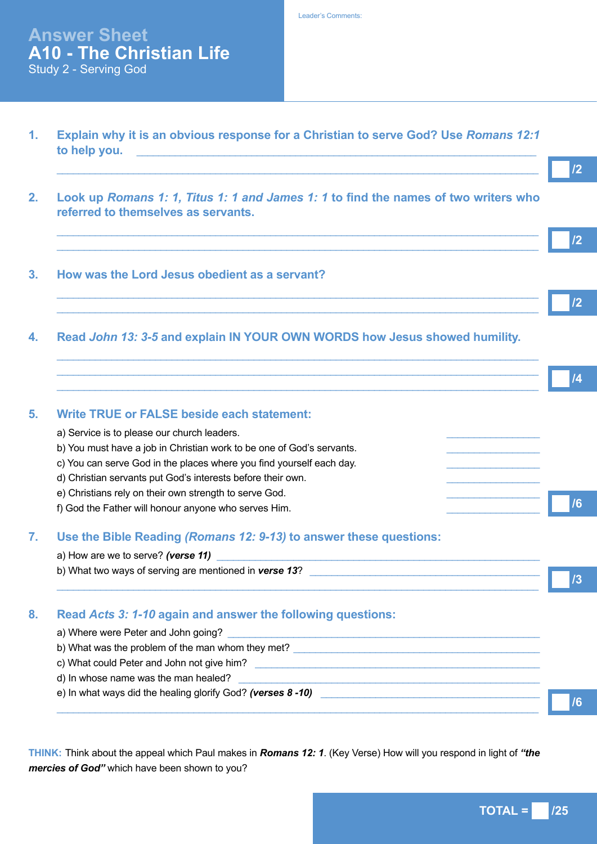Leader's Comments:

# **Answer Sheet A10 - The Christian Life** Study 2 - Serving God

**1. Explain why it is an obvious response for a Christian to serve God? Use** *Romans 12:1*  **to help you. the state of the state of the state of the state of the state of the state of the state of the state of the state of the state of the state of the state of the state of the state of the state of the state o** 

 $\_$  ,  $\_$  ,  $\_$  ,  $\_$  ,  $\_$  ,  $\_$  ,  $\_$  ,  $\_$  ,  $\_$  ,  $\_$  ,  $\_$  ,  $\_$  ,  $\_$  ,  $\_$  ,  $\_$  ,  $\_$  ,  $\_$  ,  $\_$  ,  $\_$  ,  $\_$  ,  $\_$  ,  $\_$  ,  $\_$  ,  $\_$  ,  $\_$  ,  $\_$  ,  $\_$  ,  $\_$  ,  $\_$  ,  $\_$  ,  $\_$  ,  $\_$  ,  $\_$  ,  $\_$  ,  $\_$  ,  $\_$  ,  $\_$  ,

 $\_$  ,  $\_$  ,  $\_$  ,  $\_$  ,  $\_$  ,  $\_$  ,  $\_$  ,  $\_$  ,  $\_$  ,  $\_$  ,  $\_$  ,  $\_$  ,  $\_$  ,  $\_$  ,  $\_$  ,  $\_$  ,  $\_$  ,  $\_$  ,  $\_$  ,  $\_$  ,  $\_$  ,  $\_$  ,  $\_$  ,  $\_$  ,  $\_$  ,  $\_$  ,  $\_$  ,  $\_$  ,  $\_$  ,  $\_$  ,  $\_$  ,  $\_$  ,  $\_$  ,  $\_$  ,  $\_$  ,  $\_$  ,  $\_$  ,  $\_$  ,  $\_$  ,  $\_$  ,  $\_$  ,  $\_$  ,  $\_$  ,  $\_$  ,  $\_$  ,  $\_$  ,  $\_$  ,  $\_$  ,  $\_$  ,  $\_$  ,  $\_$  ,  $\_$  ,  $\_$  ,  $\_$  ,  $\_$  ,  $\_$  ,  $\_$  ,  $\_$  ,  $\_$  ,  $\_$  ,  $\_$  ,  $\_$  ,  $\_$  ,  $\_$  ,  $\_$  ,  $\_$  ,  $\_$  ,  $\_$  ,  $\_$  ,  $\_$  ,  $\_$  ,  $\_$  ,  $\_$  ,  $\_$  ,

 $\_$  ,  $\_$  ,  $\_$  ,  $\_$  ,  $\_$  ,  $\_$  ,  $\_$  ,  $\_$  ,  $\_$  ,  $\_$  ,  $\_$  ,  $\_$  ,  $\_$  ,  $\_$  ,  $\_$  ,  $\_$  ,  $\_$  ,  $\_$  ,  $\_$  ,  $\_$  ,  $\_$  ,  $\_$  ,  $\_$  ,  $\_$  ,  $\_$  ,  $\_$  ,  $\_$  ,  $\_$  ,  $\_$  ,  $\_$  ,  $\_$  ,  $\_$  ,  $\_$  ,  $\_$  ,  $\_$  ,  $\_$  ,  $\_$  ,  $\_$  ,  $\_$  ,  $\_$  ,  $\_$  ,  $\_$  ,  $\_$  ,  $\_$  ,  $\_$  ,  $\_$  ,  $\_$  ,  $\_$  ,  $\_$  ,  $\_$  ,  $\_$  ,  $\_$  ,  $\_$  ,  $\_$  ,  $\_$  ,  $\_$  ,  $\_$  ,  $\_$  ,  $\_$  ,  $\_$  ,  $\_$  ,  $\_$  ,  $\_$  ,  $\_$  ,  $\_$  ,  $\_$  ,  $\_$  ,  $\_$  ,  $\_$  ,  $\_$  ,  $\_$  ,  $\_$  ,  $\_$  ,  $\_$  ,

- **2. Look up** *Romans 1: 1, Titus 1: 1 and James 1: 1* **to find the names of two writers who referred to themselves as servants.**
- **3. How was the Lord Jesus obedient as a servant?**
- **4. Read** *John 13: 3-5* **and explain IN YOUR OWN WORDS how Jesus showed humility.**

| <b>Write TRUE or FALSE beside each statement:</b>                     |  |
|-----------------------------------------------------------------------|--|
| a) Service is to please our church leaders.                           |  |
| b) You must have a job in Christian work to be one of God's servants. |  |
| c) You can serve God in the places where you find yourself each day.  |  |
| d) Christian servants put God's interests before their own.           |  |
| e) Christians rely on their own strength to serve God.                |  |
| f) God the Father will honour anyone who serves Him.                  |  |

#### **7. Use the Bible Reading** *(Romans 12: 9-13)* **to answer these questions:**

| a) How are we to serve? (verse 11)                     |  |
|--------------------------------------------------------|--|
| b) What two ways of serving are mentioned in verse 13? |  |
|                                                        |  |
|                                                        |  |

# **8. Read** *Acts 3: 1-10* **again and answer the following questions:**

| a) Where were Peter and John going?                        |    |
|------------------------------------------------------------|----|
| b) What was the problem of the man whom they met?          |    |
| c) What could Peter and John not give him?                 |    |
| d) In whose name was the man healed?                       |    |
| e) In what ways did the healing glorify God? (verses 8-10) |    |
|                                                            | /6 |

**THINK:** Think about the appeal which Paul makes in *Romans 12: 1*. (Key Verse) How will you respond in light of *"the mercies of God"* which have been shown to you?

**/2**

**/2**

**/2**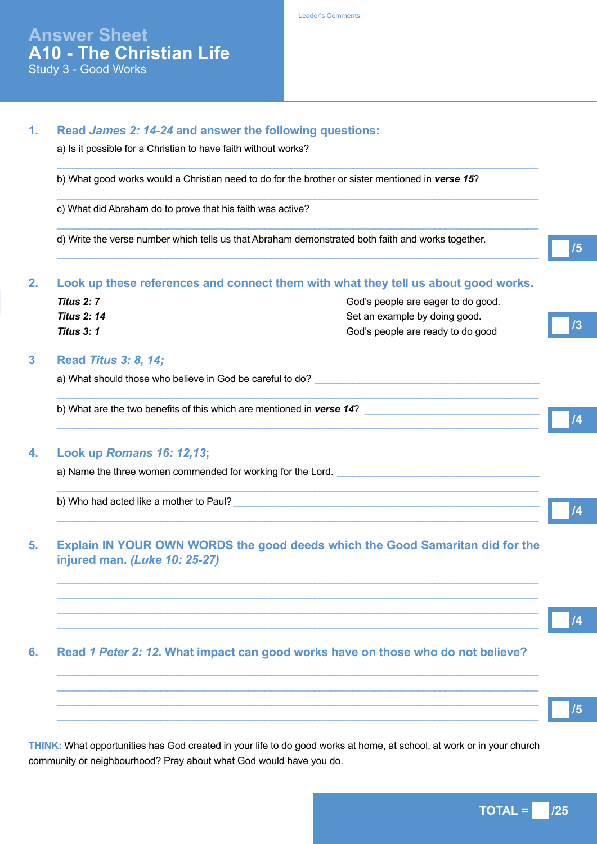|                                                            | b) What good works would a Christian need to do for the brother or sister mentioned in verse 15?                                                                                                                                       |
|------------------------------------------------------------|----------------------------------------------------------------------------------------------------------------------------------------------------------------------------------------------------------------------------------------|
| c) What did Abraham do to prove that his faith was active? |                                                                                                                                                                                                                                        |
|                                                            | d) Write the verse number which tells us that Abraham demonstrated both faith and works together.                                                                                                                                      |
|                                                            | Look up these references and connect them with what they tell us about good works.                                                                                                                                                     |
| <b>Titus 2: 7</b>                                          | God's people are eager to do good.                                                                                                                                                                                                     |
| <b>Titus 2: 14</b>                                         | Set an example by doing good.                                                                                                                                                                                                          |
| <b>Titus 3: 1</b>                                          | God's people are ready to do good                                                                                                                                                                                                      |
| <b>Read Titus 3: 8, 14;</b>                                |                                                                                                                                                                                                                                        |
|                                                            |                                                                                                                                                                                                                                        |
|                                                            | b) What are the two benefits of this which are mentioned in verse 14?                                                                                                                                                                  |
| Look up Romans 16: 12,13;                                  |                                                                                                                                                                                                                                        |
|                                                            | a) Name the three women commended for working for the Lord.                                                                                                                                                                            |
|                                                            | b) Who had acted like a mother to Paul?<br><u> and the manual contract of the set of the set of the set of the set of the set of the set of the set of the set of the set of the set of the set of the set of the set of the set o</u> |
|                                                            | <u> 1980 - Johann John Stoff, deutscher Stoff, der Stoff, der Stoff, der Stoff, der Stoff, der Stoff, der Stoff, </u>                                                                                                                  |
| injured man. (Luke 10: 25-27)                              | Explain IN YOUR OWN WORDS the good deeds which the Good Samaritan did for the                                                                                                                                                          |
|                                                            |                                                                                                                                                                                                                                        |
|                                                            |                                                                                                                                                                                                                                        |
|                                                            | Read 1 Peter 2: 12. What impact can good works have on those who do not believe?                                                                                                                                                       |

**THINK:** What opportunities has God created in your life to do good works at home, at school, at work or in your church community or neighbourhood? Pray about what God would have you do.

 $TOTAL = 125$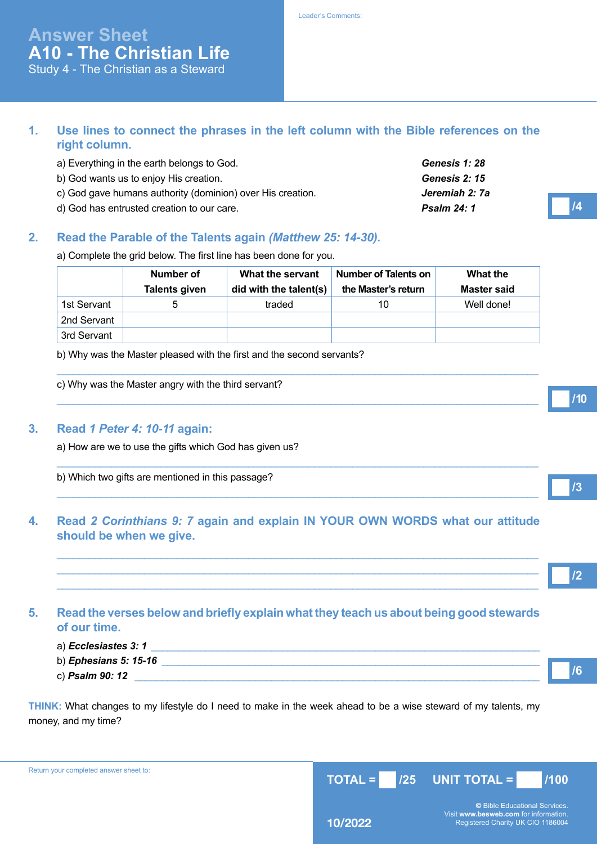# **Answer Sheet A10 - The Christian Life**

Study 4 - The Christian as a Steward

#### **1. Use lines to connect the phrases in the left column with the Bible references on the right column.**

| a) Everything in the earth belongs to God.                 | <b>Genesis 1: 28</b> |
|------------------------------------------------------------|----------------------|
| b) God wants us to enjoy His creation.                     | Genesis 2: 15        |
| c) God gave humans authority (dominion) over His creation. | Jeremiah 2: 7a       |
| d) God has entrusted creation to our care.                 | <b>Psalm 24: 1</b>   |

# **2. Read the Parable of the Talents again** *(Matthew 25: 14-30).*

a) Complete the grid below. The first line has been done for you.

|             | Number of<br><b>Talents given</b> | What the servant<br>did with the talent(s) | Number of Talents on<br>the Master's return | What the<br><b>Master said</b> |
|-------------|-----------------------------------|--------------------------------------------|---------------------------------------------|--------------------------------|
| 1st Servant | 5                                 | traded                                     | 10                                          | Well done!                     |
| 2nd Servant |                                   |                                            |                                             |                                |
| 3rd Servant |                                   |                                            |                                             |                                |

 $\_$  ,  $\_$  ,  $\_$  ,  $\_$  ,  $\_$  ,  $\_$  ,  $\_$  ,  $\_$  ,  $\_$  ,  $\_$  ,  $\_$  ,  $\_$  ,  $\_$  ,  $\_$  ,  $\_$  ,  $\_$  ,  $\_$  ,  $\_$  ,  $\_$  ,  $\_$  ,  $\_$  ,  $\_$  ,  $\_$  ,  $\_$  ,  $\_$  ,  $\_$  ,  $\_$  ,  $\_$  ,  $\_$  ,  $\_$  ,  $\_$  ,  $\_$  ,  $\_$  ,  $\_$  ,  $\_$  ,  $\_$  ,  $\_$  ,

 $\_$  ,  $\_$  ,  $\_$  ,  $\_$  ,  $\_$  ,  $\_$  ,  $\_$  ,  $\_$  ,  $\_$  ,  $\_$  ,  $\_$  ,  $\_$  ,  $\_$  ,  $\_$  ,  $\_$  ,  $\_$  ,  $\_$  ,  $\_$  ,  $\_$  ,  $\_$  ,  $\_$  ,  $\_$  ,  $\_$  ,  $\_$  ,  $\_$  ,  $\_$  ,  $\_$  ,  $\_$  ,  $\_$  ,  $\_$  ,  $\_$  ,  $\_$  ,  $\_$  ,  $\_$  ,  $\_$  ,  $\_$  ,  $\_$  ,

 $\_$  ,  $\_$  ,  $\_$  ,  $\_$  ,  $\_$  ,  $\_$  ,  $\_$  ,  $\_$  ,  $\_$  ,  $\_$  ,  $\_$  ,  $\_$  ,  $\_$  ,  $\_$  ,  $\_$  ,  $\_$  ,  $\_$  ,  $\_$  ,  $\_$  ,  $\_$  ,  $\_$  ,  $\_$  ,  $\_$  ,  $\_$  ,  $\_$  ,  $\_$  ,  $\_$  ,  $\_$  ,  $\_$  ,  $\_$  ,  $\_$  ,  $\_$  ,  $\_$  ,  $\_$  ,  $\_$  ,  $\_$  ,  $\_$  ,

 $\_$  ,  $\_$  ,  $\_$  ,  $\_$  ,  $\_$  ,  $\_$  ,  $\_$  ,  $\_$  ,  $\_$  ,  $\_$  ,  $\_$  ,  $\_$  ,  $\_$  ,  $\_$  ,  $\_$  ,  $\_$  ,  $\_$  ,  $\_$  ,  $\_$  ,  $\_$  ,  $\_$  ,  $\_$  ,  $\_$  ,  $\_$  ,  $\_$  ,  $\_$  ,  $\_$  ,  $\_$  ,  $\_$  ,  $\_$  ,  $\_$  ,  $\_$  ,  $\_$  ,  $\_$  ,  $\_$  ,  $\_$  ,  $\_$  ,

 $\_$  ,  $\_$  ,  $\_$  ,  $\_$  ,  $\_$  ,  $\_$  ,  $\_$  ,  $\_$  ,  $\_$  ,  $\_$  ,  $\_$  ,  $\_$  ,  $\_$  ,  $\_$  ,  $\_$  ,  $\_$  ,  $\_$  ,  $\_$  ,  $\_$  ,  $\_$  ,  $\_$  ,  $\_$  ,  $\_$  ,  $\_$  ,  $\_$  ,  $\_$  ,  $\_$  ,  $\_$  ,  $\_$  ,  $\_$  ,  $\_$  ,  $\_$  ,  $\_$  ,  $\_$  ,  $\_$  ,  $\_$  ,  $\_$  ,  $\_$  ,  $\_$  ,  $\_$  ,  $\_$  ,  $\_$  ,  $\_$  ,  $\_$  ,  $\_$  ,  $\_$  ,  $\_$  ,  $\_$  ,  $\_$  ,  $\_$  ,  $\_$  ,  $\_$  ,  $\_$  ,  $\_$  ,  $\_$  ,  $\_$  ,  $\_$  ,  $\_$  ,  $\_$  ,  $\_$  ,  $\_$  ,  $\_$  ,  $\_$  ,  $\_$  ,  $\_$  ,  $\_$  ,  $\_$  ,  $\_$  ,  $\_$  ,  $\_$  ,  $\_$  ,  $\_$  ,  $\_$  ,  $\_$  ,  $\_$  ,  $\_$  ,  $\_$  ,  $\_$  ,  $\_$  ,  $\_$  ,  $\_$  ,  $\_$  ,  $\_$  ,  $\_$  ,  $\_$  ,  $\_$  ,  $\_$  ,  $\_$  ,  $\_$  ,  $\_$  ,  $\_$  ,  $\_$  ,  $\_$  ,  $\_$  ,  $\_$  ,  $\_$  ,  $\_$  ,  $\_$  ,  $\_$  ,  $\_$  ,  $\_$  ,  $\_$  ,  $\_$  ,  $\_$  ,  $\_$  ,  $\_$  ,  $\_$  ,  $\_$  ,  $\_$  ,  $\_$  ,  $\_$  ,

b) Why was the Master pleased with the first and the second servants?

c) Why was the Master angry with the third servant?

#### **3. Read** *1 Peter 4: 10-11* **again:**

a) How are we to use the gifts which God has given us?

b) Which two gifts are mentioned in this passage?

# **4. Read** *2 Corinthians 9: 7* **again and explain IN YOUR OWN WORDS what our attitude should be when we give.**

#### **5. Read the verses below and briefly explain what they teach us about being good stewards of our time.**

| a) Ecclesiastes 3: 1         |  |  |
|------------------------------|--|--|
| b) <i>Ephesians 5: 15-16</i> |  |  |
| с) <b>Psalm 90: 12</b>       |  |  |

**THINK:** What changes to my lifestyle do I need to make in the week ahead to be a wise steward of my talents, my money, and my time?

Return your completed answer sheet to:



**/10**

**/3**

**/2**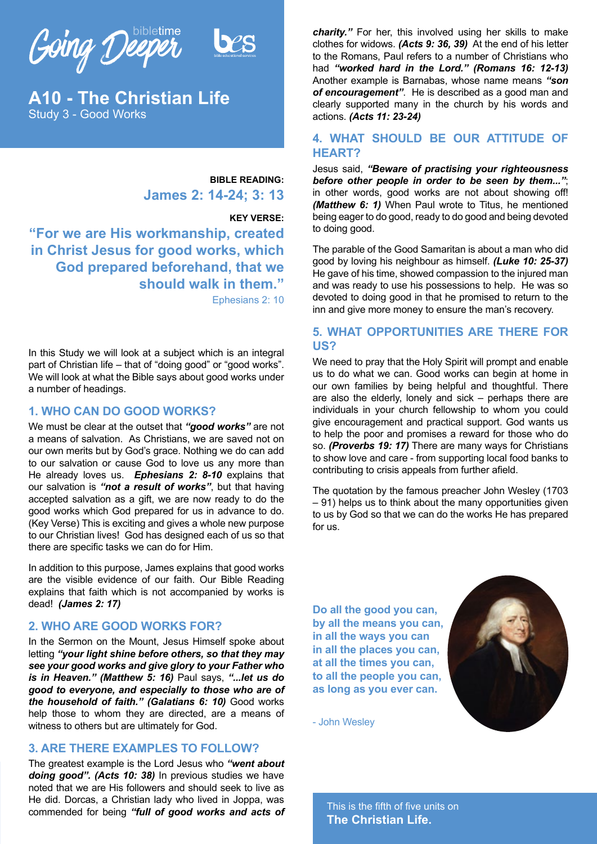Going Deeper



**A10 - The Christian Life** Study 3 - Good Works

> **BIBLE READING: James 2: 14-24; 3: 13**

#### **KEY VERSE:**

**"For we are His workmanship, created in Christ Jesus for good works, which God prepared beforehand, that we should walk in them."** Ephesians 2: 10

In this Study we will look at a subject which is an integral part of Christian life – that of "doing good" or "good works". We will look at what the Bible says about good works under a number of headings.

#### **1. WHO CAN DO GOOD WORKS?**

We must be clear at the outset that *"good works"* are not a means of salvation. As Christians, we are saved not on our own merits but by God's grace. Nothing we do can add to our salvation or cause God to love us any more than He already loves us. *Ephesians 2: 8-10* explains that our salvation is *"not a result of works"*, but that having accepted salvation as a gift, we are now ready to do the good works which God prepared for us in advance to do. (Key Verse) This is exciting and gives a whole new purpose to our Christian lives! God has designed each of us so that there are specific tasks we can do for Him.

In addition to this purpose, James explains that good works are the visible evidence of our faith. Our Bible Reading explains that faith which is not accompanied by works is dead! *(James 2: 17)*

#### **2. WHO ARE GOOD WORKS FOR?**

In the Sermon on the Mount, Jesus Himself spoke about letting *"your light shine before others, so that they may see your good works and give glory to your Father who is in Heaven." (Matthew 5: 16)* Paul says, *"...let us do good to everyone, and especially to those who are of the household of faith." (Galatians 6: 10)* Good works help those to whom they are directed, are a means of witness to others but are ultimately for God.

#### **3. ARE THERE EXAMPLES TO FOLLOW?**

The greatest example is the Lord Jesus who *"went about doing good". (Acts 10: 38)* In previous studies we have noted that we are His followers and should seek to live as He did. Dorcas, a Christian lady who lived in Joppa, was commended for being *"full of good works and acts of* 

*charity."* For her, this involved using her skills to make clothes for widows. *(Acts 9: 36, 39)* At the end of his letter to the Romans, Paul refers to a number of Christians who had *"worked hard in the Lord." (Romans 16: 12-13)* Another example is Barnabas, whose name means *"son of encouragement"*. He is described as a good man and clearly supported many in the church by his words and actions. *(Acts 11: 23-24)* 

#### **4. WHAT SHOULD BE OUR ATTITUDE OF HEART?**

Jesus said, *"Beware of practising your righteousness before other people in order to be seen by them..."*; in other words, good works are not about showing off! *(Matthew 6: 1)* When Paul wrote to Titus, he mentioned being eager to do good, ready to do good and being devoted to doing good.

The parable of the Good Samaritan is about a man who did good by loving his neighbour as himself. *(Luke 10: 25-37)*  He gave of his time, showed compassion to the injured man and was ready to use his possessions to help. He was so devoted to doing good in that he promised to return to the inn and give more money to ensure the man's recovery.

#### **5. WHAT OPPORTUNITIES ARE THERE FOR US?**

We need to pray that the Holy Spirit will prompt and enable us to do what we can. Good works can begin at home in our own families by being helpful and thoughtful. There are also the elderly, lonely and sick – perhaps there are individuals in your church fellowship to whom you could give encouragement and practical support. God wants us to help the poor and promises a reward for those who do so. *(Proverbs 19: 17)* There are many ways for Christians to show love and care - from supporting local food banks to contributing to crisis appeals from further afield.

The quotation by the famous preacher John Wesley (1703 – 91) helps us to think about the many opportunities given to us by God so that we can do the works He has prepared for us.

**Do all the good you can, by all the means you can, in all the ways you can in all the places you can, at all the times you can, to all the people you can, as long as you ever can.**



- John Wesley

This is the fifth of five units on **The Christian Life.**